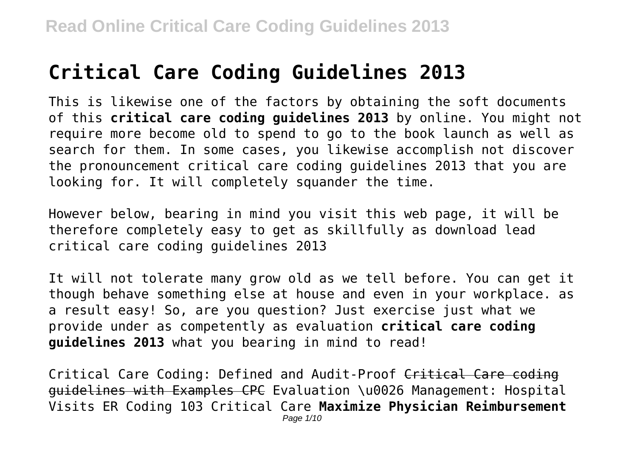# **Critical Care Coding Guidelines 2013**

This is likewise one of the factors by obtaining the soft documents of this **critical care coding guidelines 2013** by online. You might not require more become old to spend to go to the book launch as well as search for them. In some cases, you likewise accomplish not discover the pronouncement critical care coding guidelines 2013 that you are looking for. It will completely squander the time.

However below, bearing in mind you visit this web page, it will be therefore completely easy to get as skillfully as download lead critical care coding guidelines 2013

It will not tolerate many grow old as we tell before. You can get it though behave something else at house and even in your workplace. as a result easy! So, are you question? Just exercise just what we provide under as competently as evaluation **critical care coding guidelines 2013** what you bearing in mind to read!

Critical Care Coding: Defined and Audit-Proof Critical Care coding guidelines with Examples CPC Evaluation \u0026 Management: Hospital Visits ER Coding 103 Critical Care **Maximize Physician Reimbursement** Page 1/10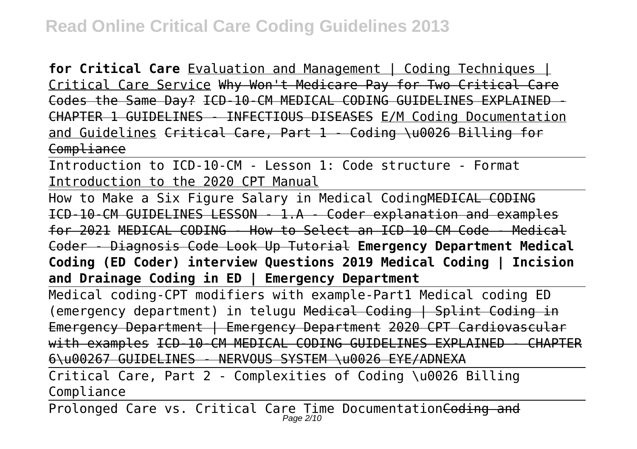**for Critical Care** Evaluation and Management | Coding Techniques | Critical Care Service Why Won't Medicare Pay for Two Critical Care Codes the Same Day? ICD-10-CM MEDICAL CODING GUIDELINES EXPLAINED CHAPTER 1 GUIDELINES - INFECTIOUS DISEASES E/M Coding Documentation and Guidelines Critical Care, Part 1 - Coding \u0026 Billing for Compliance

Introduction to ICD-10-CM - Lesson 1: Code structure - Format Introduction to the 2020 CPT Manual

How to Make a Six Figure Salary in Medical CodingMEDICAL CODING ICD-10-CM GUIDELINES LESSON - 1.A - Coder explanation and examples for 2021 MEDICAL CODING - How to Select an ICD-10-CM Code - Medical Coder - Diagnosis Code Look Up Tutorial **Emergency Department Medical Coding (ED Coder) interview Questions 2019 Medical Coding | Incision and Drainage Coding in ED | Emergency Department**

Medical coding-CPT modifiers with example-Part1 Medical coding ED (emergency department) in telugu Medical Coding | Splint Coding in Emergency Department | Emergency Department 2020 CPT Cardiovascular with examples ICD-10-CM MEDICAL CODING GUIDELINES EXPLAINED - CHAPTER 6\u00267 GUIDELINES - NERVOUS SYSTEM \u0026 EYE/ADNEXA

Critical Care, Part 2 - Complexities of Coding \u0026 Billing Compliance

Prolonged Care vs. Critical Care Time Documentation<del>Coding and</del>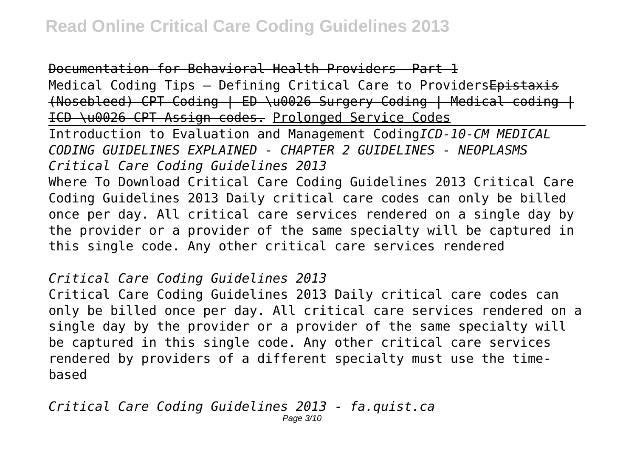#### Documentation for Behavioral Health Providers- Part 1

Medical Coding Tips - Defining Critical Care to ProvidersEpistaxis (Nosebleed) CPT Coding | ED \u0026 Surgery Coding | Medical coding | ICD \u0026 CPT Assign codes. Prolonged Service Codes

Introduction to Evaluation and Management Coding*ICD-10-CM MEDICAL CODING GUIDELINES EXPLAINED - CHAPTER 2 GUIDELINES - NEOPLASMS Critical Care Coding Guidelines 2013*

Where To Download Critical Care Coding Guidelines 2013 Critical Care Coding Guidelines 2013 Daily critical care codes can only be billed once per day. All critical care services rendered on a single day by the provider or a provider of the same specialty will be captured in this single code. Any other critical care services rendered

*Critical Care Coding Guidelines 2013*

Critical Care Coding Guidelines 2013 Daily critical care codes can only be billed once per day. All critical care services rendered on a single day by the provider or a provider of the same specialty will be captured in this single code. Any other critical care services rendered by providers of a different specialty must use the timebased

*Critical Care Coding Guidelines 2013 - fa.quist.ca* Page 3/10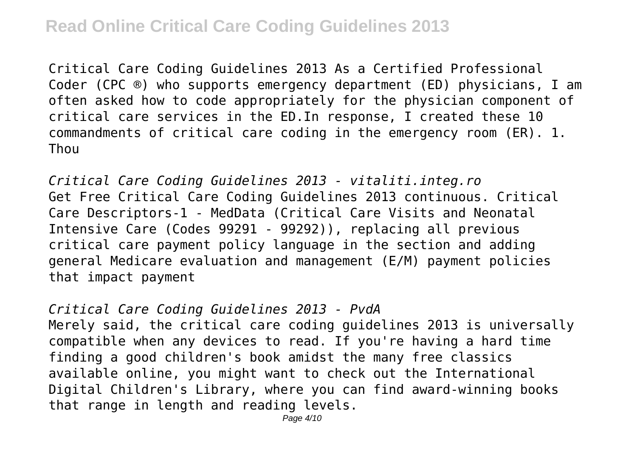Critical Care Coding Guidelines 2013 As a Certified Professional Coder (CPC ®) who supports emergency department (ED) physicians, I am often asked how to code appropriately for the physician component of critical care services in the ED.In response, I created these 10 commandments of critical care coding in the emergency room (ER). 1. **Thou** 

*Critical Care Coding Guidelines 2013 - vitaliti.integ.ro* Get Free Critical Care Coding Guidelines 2013 continuous. Critical Care Descriptors-1 - MedData (Critical Care Visits and Neonatal Intensive Care (Codes 99291 - 99292)), replacing all previous critical care payment policy language in the section and adding general Medicare evaluation and management (E/M) payment policies that impact payment

*Critical Care Coding Guidelines 2013 - PvdA* Merely said, the critical care coding guidelines 2013 is universally compatible when any devices to read. If you're having a hard time finding a good children's book amidst the many free classics available online, you might want to check out the International Digital Children's Library, where you can find award-winning books that range in length and reading levels.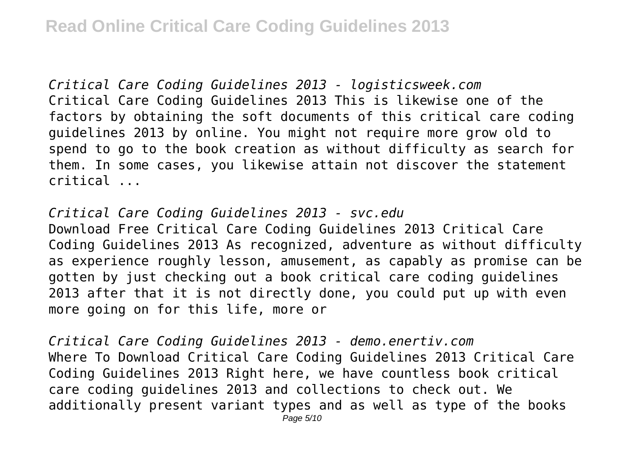*Critical Care Coding Guidelines 2013 - logisticsweek.com* Critical Care Coding Guidelines 2013 This is likewise one of the factors by obtaining the soft documents of this critical care coding guidelines 2013 by online. You might not require more grow old to spend to go to the book creation as without difficulty as search for them. In some cases, you likewise attain not discover the statement critical ...

*Critical Care Coding Guidelines 2013 - svc.edu* Download Free Critical Care Coding Guidelines 2013 Critical Care Coding Guidelines 2013 As recognized, adventure as without difficulty as experience roughly lesson, amusement, as capably as promise can be gotten by just checking out a book critical care coding guidelines 2013 after that it is not directly done, you could put up with even more going on for this life, more or

*Critical Care Coding Guidelines 2013 - demo.enertiv.com* Where To Download Critical Care Coding Guidelines 2013 Critical Care Coding Guidelines 2013 Right here, we have countless book critical care coding guidelines 2013 and collections to check out. We additionally present variant types and as well as type of the books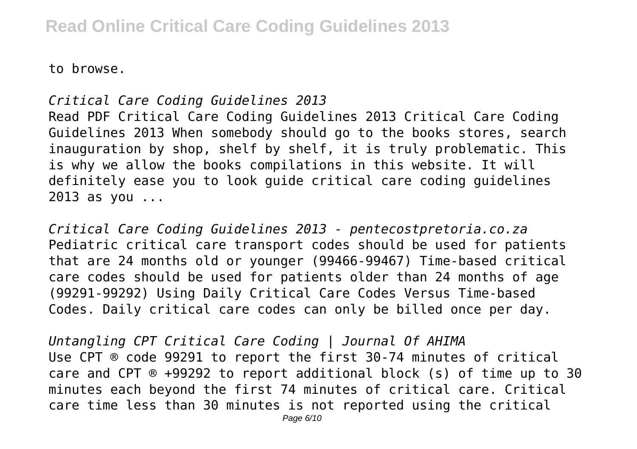to browse.

### *Critical Care Coding Guidelines 2013*

Read PDF Critical Care Coding Guidelines 2013 Critical Care Coding Guidelines 2013 When somebody should go to the books stores, search inauguration by shop, shelf by shelf, it is truly problematic. This is why we allow the books compilations in this website. It will definitely ease you to look guide critical care coding guidelines 2013 as you ...

*Critical Care Coding Guidelines 2013 - pentecostpretoria.co.za* Pediatric critical care transport codes should be used for patients that are 24 months old or younger (99466-99467) Time-based critical care codes should be used for patients older than 24 months of age (99291-99292) Using Daily Critical Care Codes Versus Time-based Codes. Daily critical care codes can only be billed once per day.

*Untangling CPT Critical Care Coding | Journal Of AHIMA* Use CPT ® code 99291 to report the first 30-74 minutes of critical care and CPT ® +99292 to report additional block (s) of time up to 30 minutes each beyond the first 74 minutes of critical care. Critical care time less than 30 minutes is not reported using the critical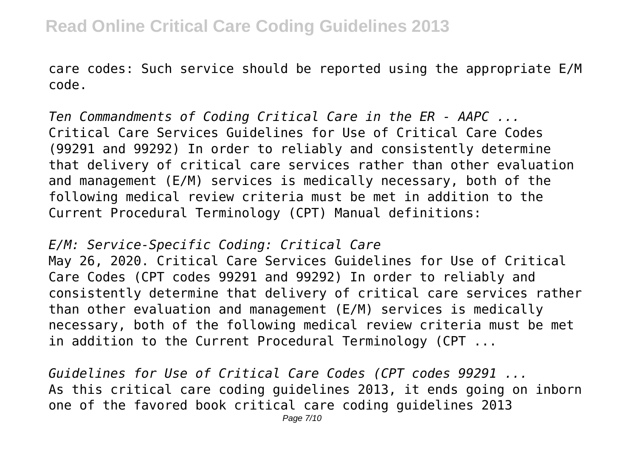care codes: Such service should be reported using the appropriate E/M code.

*Ten Commandments of Coding Critical Care in the ER - AAPC ...* Critical Care Services Guidelines for Use of Critical Care Codes (99291 and 99292) In order to reliably and consistently determine that delivery of critical care services rather than other evaluation and management (E/M) services is medically necessary, both of the following medical review criteria must be met in addition to the Current Procedural Terminology (CPT) Manual definitions:

*E/M: Service-Specific Coding: Critical Care*

May 26, 2020. Critical Care Services Guidelines for Use of Critical Care Codes (CPT codes 99291 and 99292) In order to reliably and consistently determine that delivery of critical care services rather than other evaluation and management (E/M) services is medically necessary, both of the following medical review criteria must be met in addition to the Current Procedural Terminology (CPT ...

*Guidelines for Use of Critical Care Codes (CPT codes 99291 ...* As this critical care coding guidelines 2013, it ends going on inborn one of the favored book critical care coding guidelines 2013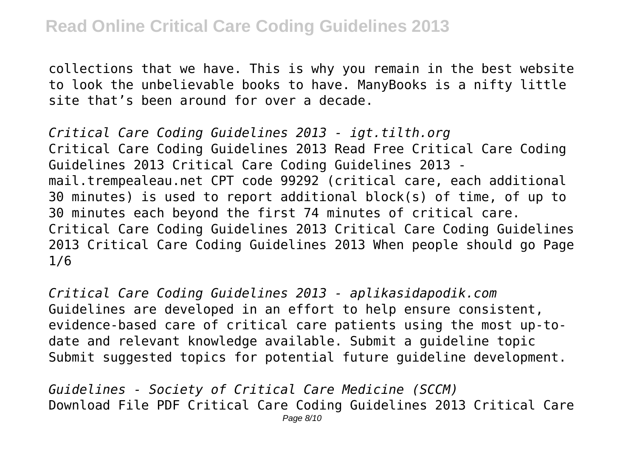collections that we have. This is why you remain in the best website to look the unbelievable books to have. ManyBooks is a nifty little site that's been around for over a decade.

*Critical Care Coding Guidelines 2013 - igt.tilth.org* Critical Care Coding Guidelines 2013 Read Free Critical Care Coding Guidelines 2013 Critical Care Coding Guidelines 2013 mail.trempealeau.net CPT code 99292 (critical care, each additional 30 minutes) is used to report additional block(s) of time, of up to 30 minutes each beyond the first 74 minutes of critical care. Critical Care Coding Guidelines 2013 Critical Care Coding Guidelines 2013 Critical Care Coding Guidelines 2013 When people should go Page 1/6

*Critical Care Coding Guidelines 2013 - aplikasidapodik.com* Guidelines are developed in an effort to help ensure consistent, evidence-based care of critical care patients using the most up-todate and relevant knowledge available. Submit a guideline topic Submit suggested topics for potential future guideline development.

*Guidelines - Society of Critical Care Medicine (SCCM)* Download File PDF Critical Care Coding Guidelines 2013 Critical Care Page 8/10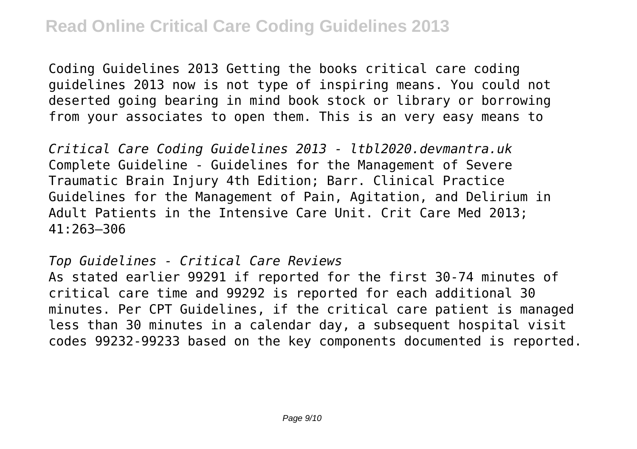Coding Guidelines 2013 Getting the books critical care coding guidelines 2013 now is not type of inspiring means. You could not deserted going bearing in mind book stock or library or borrowing from your associates to open them. This is an very easy means to

*Critical Care Coding Guidelines 2013 - ltbl2020.devmantra.uk* Complete Guideline - Guidelines for the Management of Severe Traumatic Brain Injury 4th Edition; Barr. Clinical Practice Guidelines for the Management of Pain, Agitation, and Delirium in Adult Patients in the Intensive Care Unit. Crit Care Med 2013; 41:263–306

#### *Top Guidelines - Critical Care Reviews*

As stated earlier 99291 if reported for the first 30-74 minutes of critical care time and 99292 is reported for each additional 30 minutes. Per CPT Guidelines, if the critical care patient is managed less than 30 minutes in a calendar day, a subsequent hospital visit codes 99232-99233 based on the key components documented is reported.